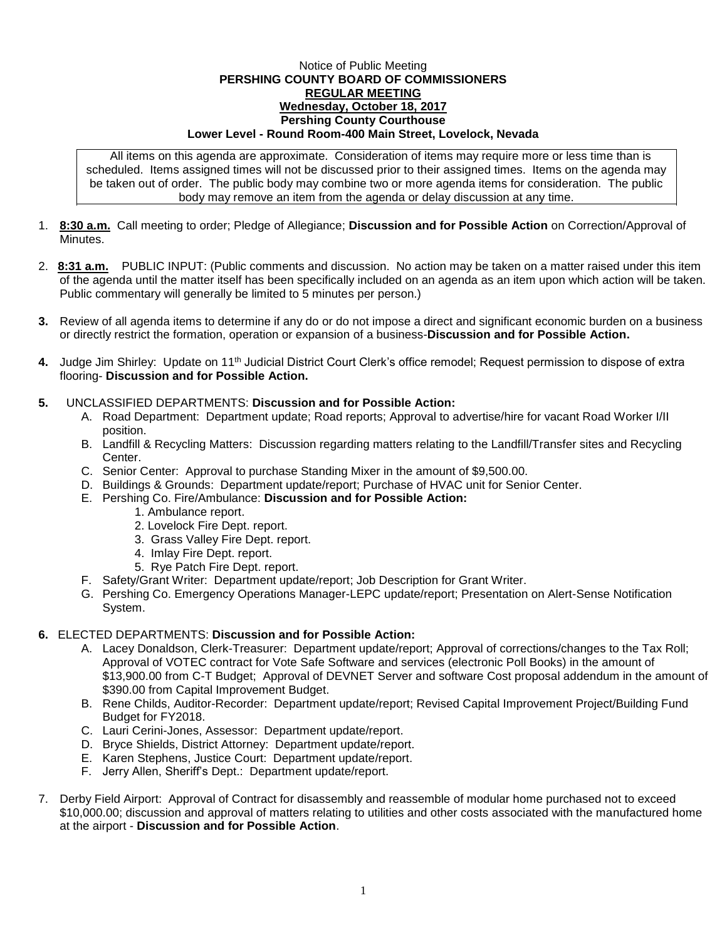## Notice of Public Meeting **PERSHING COUNTY BOARD OF COMMISSIONERS REGULAR MEETING Wednesday, October 18, 2017 Pershing County Courthouse Lower Level - Round Room-400 Main Street, Lovelock, Nevada**

All items on this agenda are approximate. Consideration of items may require more or less time than is scheduled. Items assigned times will not be discussed prior to their assigned times. Items on the agenda may be taken out of order. The public body may combine two or more agenda items for consideration. The public body may remove an item from the agenda or delay discussion at any time.

- 1. **8:30 a.m.** Call meeting to order; Pledge of Allegiance; **Discussion and for Possible Action** on Correction/Approval of **Minutes**
- 2. **8:31 a.m.** PUBLIC INPUT: (Public comments and discussion. No action may be taken on a matter raised under this item of the agenda until the matter itself has been specifically included on an agenda as an item upon which action will be taken. Public commentary will generally be limited to 5 minutes per person.)
- **3.** Review of all agenda items to determine if any do or do not impose a direct and significant economic burden on a business or directly restrict the formation, operation or expansion of a business-**Discussion and for Possible Action.**
- **4.** Judge Jim Shirley: Update on 11th Judicial District Court Clerk's office remodel; Request permission to dispose of extra flooring- **Discussion and for Possible Action.**

## **5.** UNCLASSIFIED DEPARTMENTS: **Discussion and for Possible Action:**

- A. Road Department: Department update; Road reports; Approval to advertise/hire for vacant Road Worker I/II position.
- B. Landfill & Recycling Matters: Discussion regarding matters relating to the Landfill/Transfer sites and Recycling Center.
- C. Senior Center: Approval to purchase Standing Mixer in the amount of \$9,500.00.
- D. Buildings & Grounds: Department update/report; Purchase of HVAC unit for Senior Center.
- E. Pershing Co. Fire/Ambulance: **Discussion and for Possible Action:**
	- 1. Ambulance report.
	- 2. Lovelock Fire Dept. report.
	- 3. Grass Valley Fire Dept. report.
	- 4. Imlay Fire Dept. report.
	- 5. Rye Patch Fire Dept. report.
- F. Safety/Grant Writer: Department update/report; Job Description for Grant Writer.
- G. Pershing Co. Emergency Operations Manager-LEPC update/report; Presentation on Alert-Sense Notification System.

## **6.** ELECTED DEPARTMENTS: **Discussion and for Possible Action:**

- A. Lacey Donaldson, Clerk-Treasurer: Department update/report; Approval of corrections/changes to the Tax Roll; Approval of VOTEC contract for Vote Safe Software and services (electronic Poll Books) in the amount of \$13,900.00 from C-T Budget; Approval of DEVNET Server and software Cost proposal addendum in the amount of \$390.00 from Capital Improvement Budget.
- B. Rene Childs, Auditor-Recorder: Department update/report; Revised Capital Improvement Project/Building Fund Budget for FY2018.
- C. Lauri Cerini-Jones, Assessor: Department update/report.
- D. Bryce Shields, District Attorney: Department update/report.
- E. Karen Stephens, Justice Court: Department update/report.
- F. Jerry Allen, Sheriff's Dept.: Department update/report.
- 7. Derby Field Airport: Approval of Contract for disassembly and reassemble of modular home purchased not to exceed \$10,000.00; discussion and approval of matters relating to utilities and other costs associated with the manufactured home at the airport - **Discussion and for Possible Action**.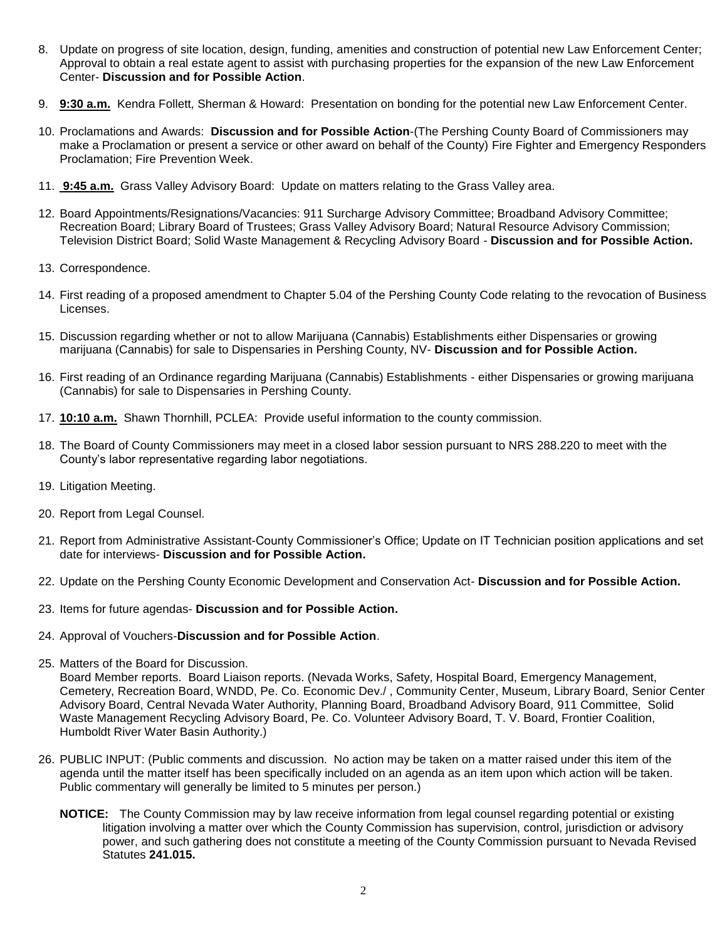- 8. Update on progress of site location, design, funding, amenities and construction of potential new Law Enforcement Center; Approval to obtain a real estate agent to assist with purchasing properties for the expansion of the new Law Enforcement Center- **Discussion and for Possible Action**.
- 9. **9:30 a.m.** Kendra Follett, Sherman & Howard: Presentation on bonding for the potential new Law Enforcement Center.
- 10. Proclamations and Awards: **Discussion and for Possible Action**-(The Pershing County Board of Commissioners may make a Proclamation or present a service or other award on behalf of the County) Fire Fighter and Emergency Responders Proclamation; Fire Prevention Week.
- 11. **9:45 a.m.** Grass Valley Advisory Board: Update on matters relating to the Grass Valley area.
- 12. Board Appointments/Resignations/Vacancies: 911 Surcharge Advisory Committee; Broadband Advisory Committee; Recreation Board; Library Board of Trustees; Grass Valley Advisory Board; Natural Resource Advisory Commission; Television District Board; Solid Waste Management & Recycling Advisory Board - **Discussion and for Possible Action.**
- 13. Correspondence.
- 14. First reading of a proposed amendment to Chapter 5.04 of the Pershing County Code relating to the revocation of Business Licenses.
- 15. Discussion regarding whether or not to allow Marijuana (Cannabis) Establishments either Dispensaries or growing marijuana (Cannabis) for sale to Dispensaries in Pershing County, NV- **Discussion and for Possible Action.**
- 16. First reading of an Ordinance regarding Marijuana (Cannabis) Establishments either Dispensaries or growing marijuana (Cannabis) for sale to Dispensaries in Pershing County.
- 17. **10:10 a.m.** Shawn Thornhill, PCLEA: Provide useful information to the county commission.
- 18. The Board of County Commissioners may meet in a closed labor session pursuant to NRS 288.220 to meet with the County's labor representative regarding labor negotiations.
- 19. Litigation Meeting.
- 20. Report from Legal Counsel.
- 21. Report from Administrative Assistant-County Commissioner's Office; Update on IT Technician position applications and set date for interviews- **Discussion and for Possible Action.**
- 22. Update on the Pershing County Economic Development and Conservation Act- **Discussion and for Possible Action.**
- 23. Items for future agendas- **Discussion and for Possible Action.**
- 24. Approval of Vouchers-**Discussion and for Possible Action**.
- 25. Matters of the Board for Discussion.

Board Member reports. Board Liaison reports. (Nevada Works, Safety, Hospital Board, Emergency Management, Cemetery, Recreation Board, WNDD, Pe. Co. Economic Dev./ , Community Center, Museum, Library Board, Senior Center Advisory Board, Central Nevada Water Authority, Planning Board, Broadband Advisory Board, 911 Committee, Solid Waste Management Recycling Advisory Board, Pe. Co. Volunteer Advisory Board, T. V. Board, Frontier Coalition, Humboldt River Water Basin Authority.)

- 26. PUBLIC INPUT: (Public comments and discussion. No action may be taken on a matter raised under this item of the agenda until the matter itself has been specifically included on an agenda as an item upon which action will be taken. Public commentary will generally be limited to 5 minutes per person.)
	- **NOTICE:** The County Commission may by law receive information from legal counsel regarding potential or existing litigation involving a matter over which the County Commission has supervision, control, jurisdiction or advisory power, and such gathering does not constitute a meeting of the County Commission pursuant to Nevada Revised Statutes **241.015.**